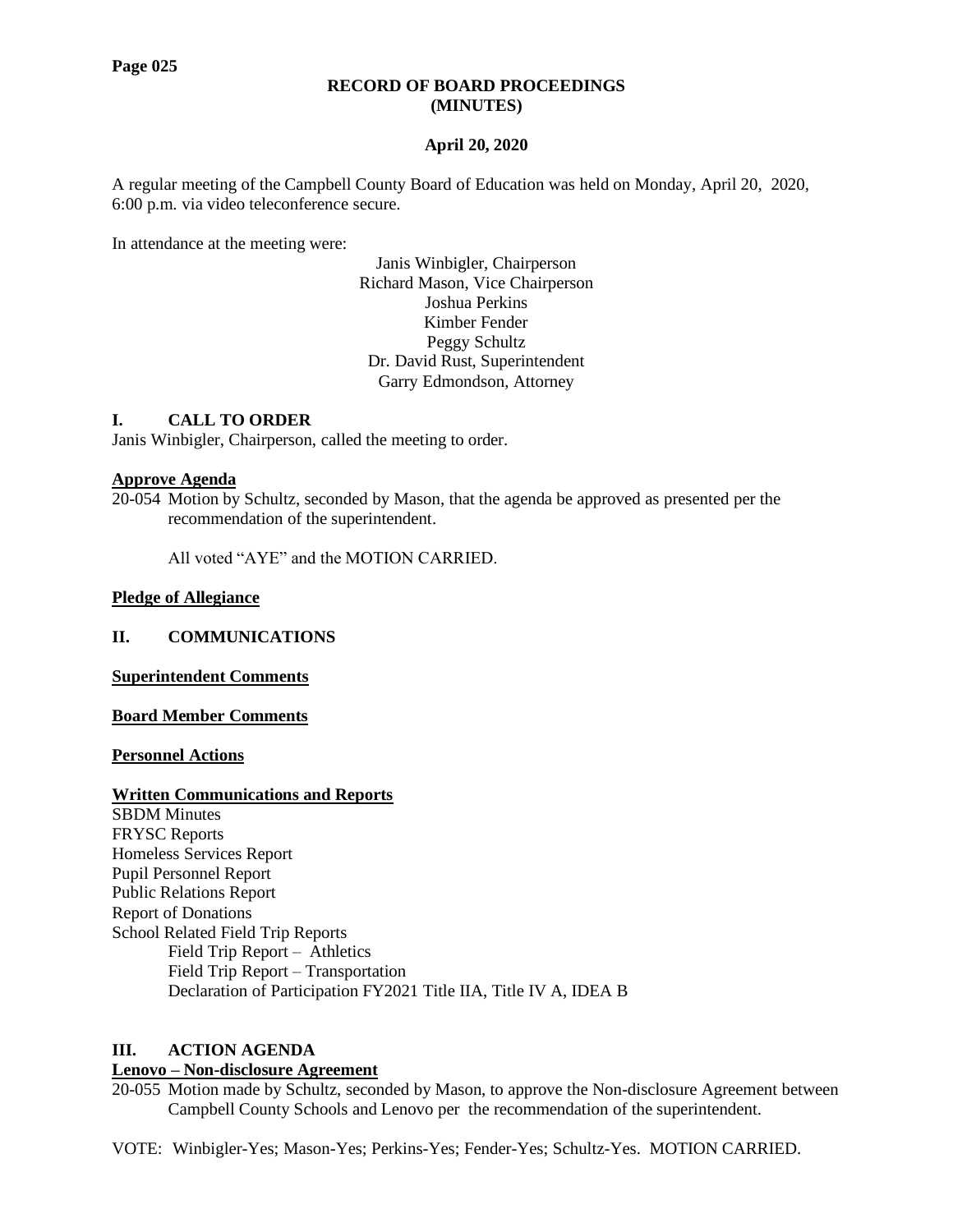#### **RECORD OF BOARD PROCEEDINGS (MINUTES)**

## **April 20, 2020**

A regular meeting of the Campbell County Board of Education was held on Monday, April 20, 2020, 6:00 p.m. via video teleconference secure.

In attendance at the meeting were:

Janis Winbigler, Chairperson Richard Mason, Vice Chairperson Joshua Perkins Kimber Fender Peggy Schultz Dr. David Rust, Superintendent Garry Edmondson, Attorney

## **I. CALL TO ORDER**

Janis Winbigler, Chairperson, called the meeting to order.

#### **Approve Agenda**

20-054 Motion by Schultz, seconded by Mason, that the agenda be approved as presented per the recommendation of the superintendent.

All voted "AYE" and the MOTION CARRIED.

#### **Pledge of Allegiance**

**II. COMMUNICATIONS**

**Superintendent Comments**

**Board Member Comments**

**Personnel Actions**

## **Written Communications and Reports**

SBDM Minutes FRYSC Reports Homeless Services Report Pupil Personnel Report Public Relations Report Report of Donations School Related Field Trip Reports Field Trip Report – Athletics Field Trip Report – Transportation Declaration of Participation FY2021 Title IIA, Title IV A, IDEA B

## **III. ACTION AGENDA**

#### **Lenovo – Non-disclosure Agreement**

20-055 Motion made by Schultz, seconded by Mason, to approve the Non-disclosure Agreement between Campbell County Schools and Lenovo per the recommendation of the superintendent.

VOTE: Winbigler-Yes; Mason-Yes; Perkins-Yes; Fender-Yes; Schultz-Yes. MOTION CARRIED.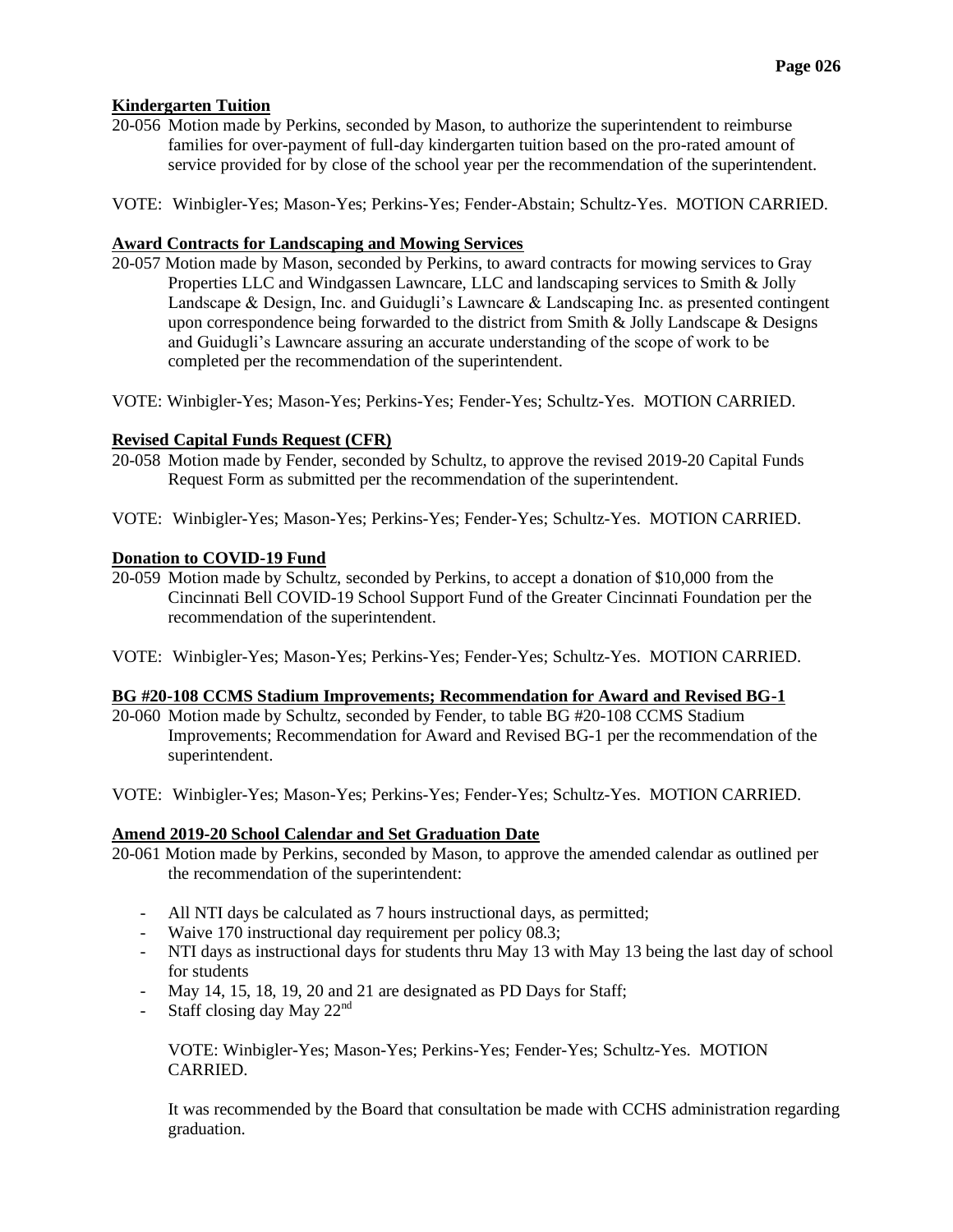## **Kindergarten Tuition**

- 20-056 Motion made by Perkins, seconded by Mason, to authorize the superintendent to reimburse families for over-payment of full-day kindergarten tuition based on the pro-rated amount of service provided for by close of the school year per the recommendation of the superintendent.
- VOTE: Winbigler-Yes; Mason-Yes; Perkins-Yes; Fender-Abstain; Schultz-Yes. MOTION CARRIED.

## **Award Contracts for Landscaping and Mowing Services**

- 20-057 Motion made by Mason, seconded by Perkins, to award contracts for mowing services to Gray Properties LLC and Windgassen Lawncare, LLC and landscaping services to Smith & Jolly Landscape & Design, Inc. and Guidugli's Lawncare & Landscaping Inc. as presented contingent upon correspondence being forwarded to the district from Smith  $&$  Jolly Landscape  $&$  Designs and Guidugli's Lawncare assuring an accurate understanding of the scope of work to be completed per the recommendation of the superintendent.
- VOTE: Winbigler-Yes; Mason-Yes; Perkins-Yes; Fender-Yes; Schultz-Yes. MOTION CARRIED.

## **Revised Capital Funds Request (CFR)**

- 20-058 Motion made by Fender, seconded by Schultz, to approve the revised 2019-20 Capital Funds Request Form as submitted per the recommendation of the superintendent.
- VOTE: Winbigler-Yes; Mason-Yes; Perkins-Yes; Fender-Yes; Schultz-Yes. MOTION CARRIED.

## **Donation to COVID-19 Fund**

- 20-059 Motion made by Schultz, seconded by Perkins, to accept a donation of \$10,000 from the Cincinnati Bell COVID-19 School Support Fund of the Greater Cincinnati Foundation per the recommendation of the superintendent.
- VOTE: Winbigler-Yes; Mason-Yes; Perkins-Yes; Fender-Yes; Schultz-Yes. MOTION CARRIED.

#### **BG #20-108 CCMS Stadium Improvements; Recommendation for Award and Revised BG-1**

- 20-060 Motion made by Schultz, seconded by Fender, to table BG #20-108 CCMS Stadium Improvements; Recommendation for Award and Revised BG-1 per the recommendation of the superintendent.
- VOTE: Winbigler-Yes; Mason-Yes; Perkins-Yes; Fender-Yes; Schultz-Yes. MOTION CARRIED.

## **Amend 2019-20 School Calendar and Set Graduation Date**

- 20-061 Motion made by Perkins, seconded by Mason, to approve the amended calendar as outlined per the recommendation of the superintendent:
	- All NTI days be calculated as 7 hours instructional days, as permitted;
	- Waive 170 instructional day requirement per policy 08.3;
	- NTI days as instructional days for students thru May 13 with May 13 being the last day of school for students
	- May 14, 15, 18, 19, 20 and 21 are designated as PD Days for Staff;
	- Staff closing day May  $22<sup>nd</sup>$

VOTE: Winbigler-Yes; Mason-Yes; Perkins-Yes; Fender-Yes; Schultz-Yes. MOTION CARRIED.

It was recommended by the Board that consultation be made with CCHS administration regarding graduation.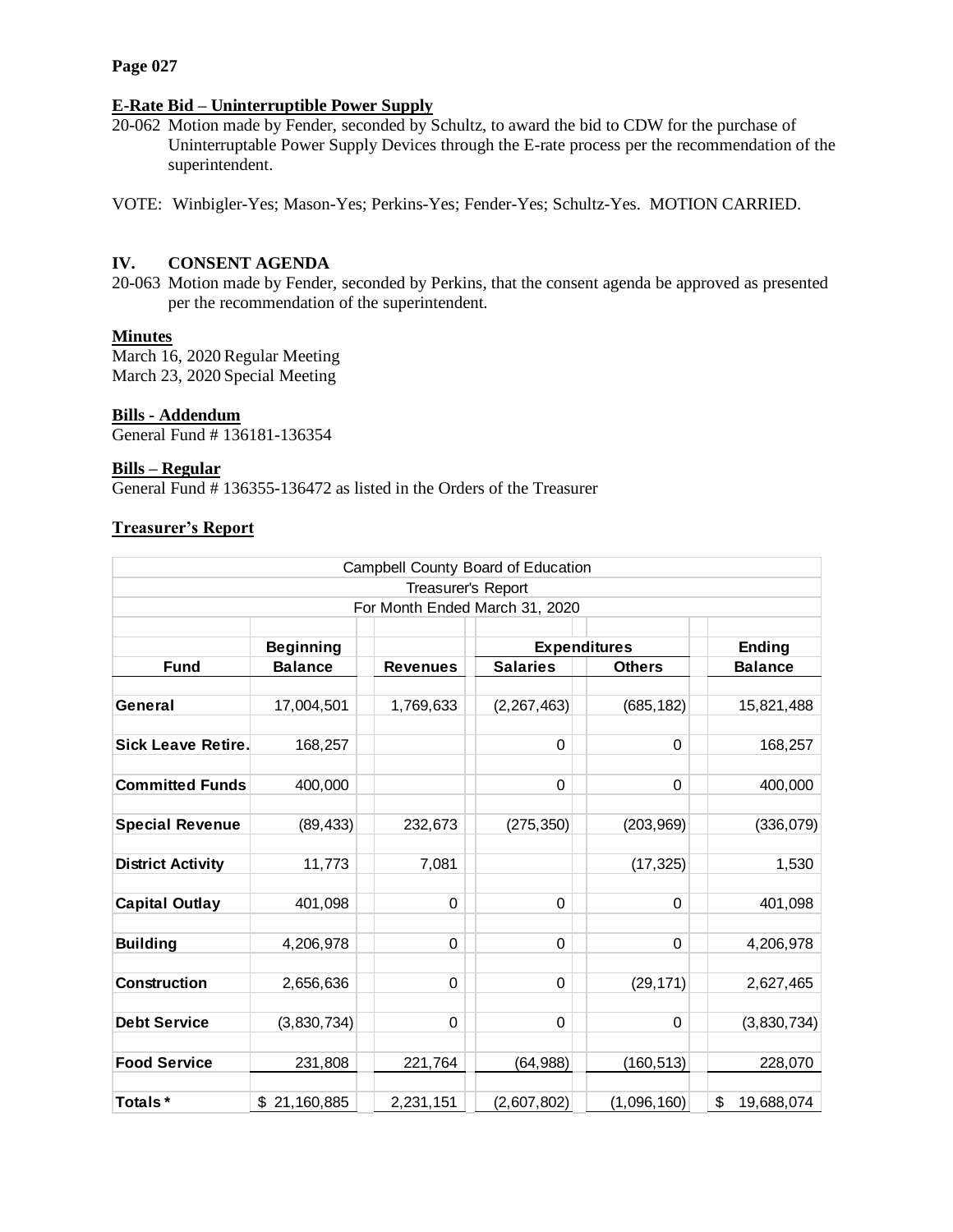#### **Page 027**

## **E-Rate Bid – Uninterruptible Power Supply**

20-062 Motion made by Fender, seconded by Schultz, to award the bid to CDW for the purchase of Uninterruptable Power Supply Devices through the E-rate process per the recommendation of the superintendent.

VOTE: Winbigler-Yes; Mason-Yes; Perkins-Yes; Fender-Yes; Schultz-Yes. MOTION CARRIED.

## **IV. CONSENT AGENDA**

20-063 Motion made by Fender, seconded by Perkins, that the consent agenda be approved as presented per the recommendation of the superintendent.

# **Minutes**

March 16, 2020 Regular Meeting March 23, 2020 Special Meeting

#### **Bills - Addendum**

General Fund # 136181-136354

#### **Bills – Regular**

General Fund # 136355-136472 as listed in the Orders of the Treasurer

#### **Treasurer's Report**

| Campbell County Board of Education |                  |                 |                     |               |                  |
|------------------------------------|------------------|-----------------|---------------------|---------------|------------------|
| Treasurer's Report                 |                  |                 |                     |               |                  |
| For Month Ended March 31, 2020     |                  |                 |                     |               |                  |
|                                    | <b>Beginning</b> |                 | <b>Expenditures</b> |               | <b>Ending</b>    |
| <b>Fund</b>                        | <b>Balance</b>   | <b>Revenues</b> | <b>Salaries</b>     | <b>Others</b> | <b>Balance</b>   |
|                                    |                  |                 |                     |               |                  |
| General                            | 17,004,501       | 1,769,633       | (2, 267, 463)       | (685, 182)    | 15,821,488       |
|                                    |                  |                 |                     |               |                  |
| <b>Sick Leave Retire.</b>          | 168,257          |                 | 0                   | 0             | 168,257          |
|                                    |                  |                 |                     |               |                  |
| <b>Committed Funds</b>             | 400,000          |                 | 0                   | 0             | 400,000          |
| <b>Special Revenue</b>             | (89, 433)        | 232,673         | (275, 350)          | (203, 969)    | (336,079)        |
|                                    |                  |                 |                     |               |                  |
| <b>District Activity</b>           | 11,773           | 7,081           |                     | (17, 325)     | 1,530            |
|                                    |                  |                 |                     |               |                  |
| <b>Capital Outlay</b>              | 401,098          | 0               | 0                   | $\mathbf 0$   | 401,098          |
|                                    |                  |                 |                     |               |                  |
| <b>Building</b>                    | 4,206,978        | 0               | 0                   | 0             | 4,206,978        |
|                                    |                  |                 |                     |               |                  |
| <b>Construction</b>                | 2,656,636        | 0               | 0                   | (29, 171)     | 2,627,465        |
|                                    |                  |                 |                     |               |                  |
| <b>Debt Service</b>                | (3,830,734)      | 0               | 0                   | 0             | (3,830,734)      |
| <b>Food Service</b>                | 231,808          | 221,764         | (64,988)            | (160, 513)    | 228,070          |
|                                    |                  |                 |                     |               |                  |
| Totals*                            | \$21,160,885     | 2,231,151       | (2,607,802)         | (1,096,160)   | \$<br>19,688,074 |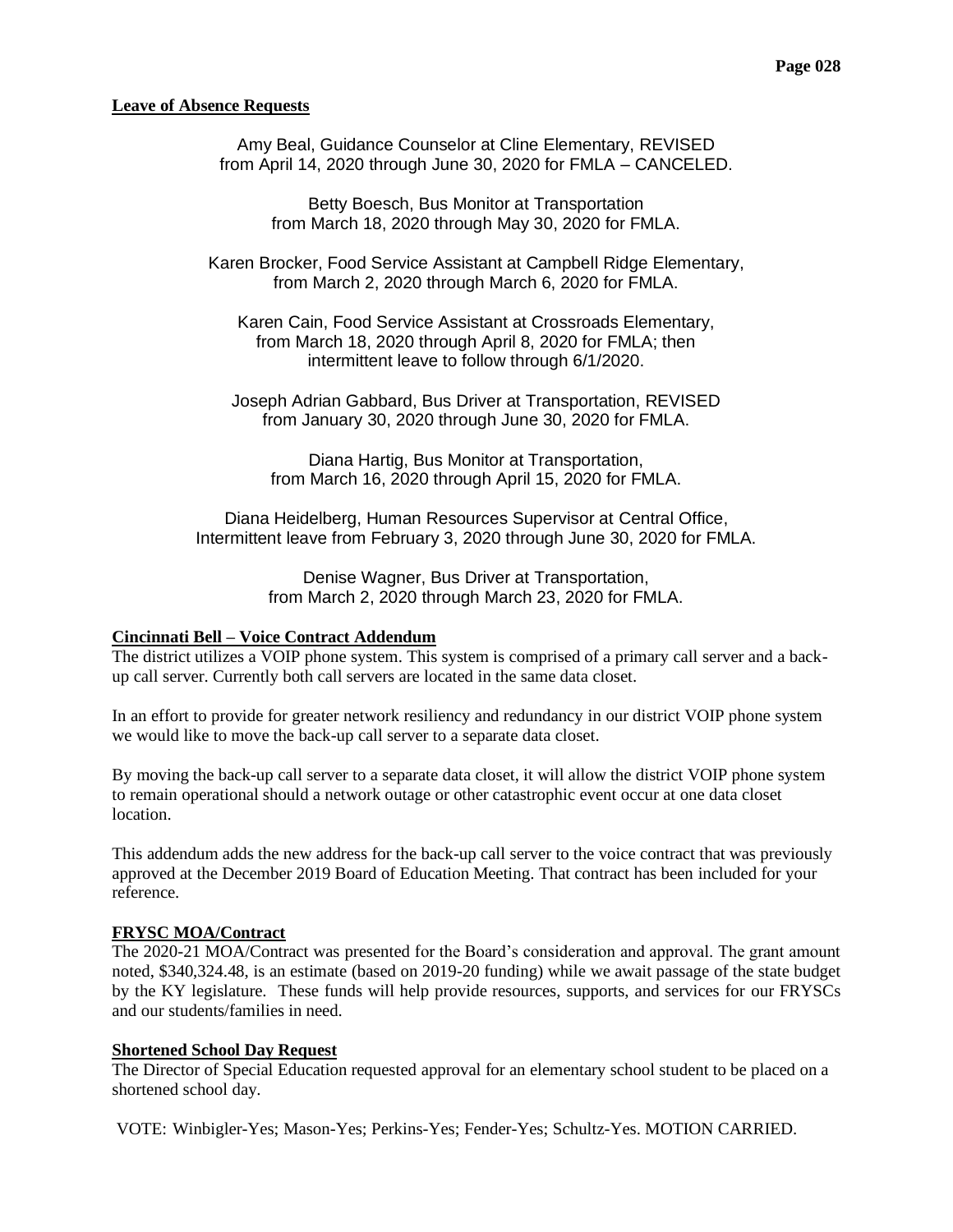#### **Leave of Absence Requests**

Amy Beal, Guidance Counselor at Cline Elementary, REVISED from April 14, 2020 through June 30, 2020 for FMLA – CANCELED.

> Betty Boesch, Bus Monitor at Transportation from March 18, 2020 through May 30, 2020 for FMLA.

Karen Brocker, Food Service Assistant at Campbell Ridge Elementary, from March 2, 2020 through March 6, 2020 for FMLA.

Karen Cain, Food Service Assistant at Crossroads Elementary, from March 18, 2020 through April 8, 2020 for FMLA; then intermittent leave to follow through 6/1/2020.

Joseph Adrian Gabbard, Bus Driver at Transportation, REVISED from January 30, 2020 through June 30, 2020 for FMLA.

Diana Hartig, Bus Monitor at Transportation, from March 16, 2020 through April 15, 2020 for FMLA.

Diana Heidelberg, Human Resources Supervisor at Central Office, Intermittent leave from February 3, 2020 through June 30, 2020 for FMLA.

> Denise Wagner, Bus Driver at Transportation, from March 2, 2020 through March 23, 2020 for FMLA.

#### **Cincinnati Bell – Voice Contract Addendum**

The district utilizes a VOIP phone system. This system is comprised of a primary call server and a backup call server. Currently both call servers are located in the same data closet.

In an effort to provide for greater network resiliency and redundancy in our district VOIP phone system we would like to move the back-up call server to a separate data closet.

By moving the back-up call server to a separate data closet, it will allow the district VOIP phone system to remain operational should a network outage or other catastrophic event occur at one data closet location.

This addendum adds the new address for the back-up call server to the voice contract that was previously approved at the December 2019 Board of Education Meeting. That contract has been included for your reference.

#### **FRYSC MOA/Contract**

The 2020-21 MOA/Contract was presented for the Board's consideration and approval. The grant amount noted, \$340,324.48, is an estimate (based on 2019-20 funding) while we await passage of the state budget by the KY legislature. These funds will help provide resources, supports, and services for our FRYSCs and our students/families in need.

#### **Shortened School Day Request**

The Director of Special Education requested approval for an elementary school student to be placed on a shortened school day.

VOTE: Winbigler-Yes; Mason-Yes; Perkins-Yes; Fender-Yes; Schultz-Yes. MOTION CARRIED.